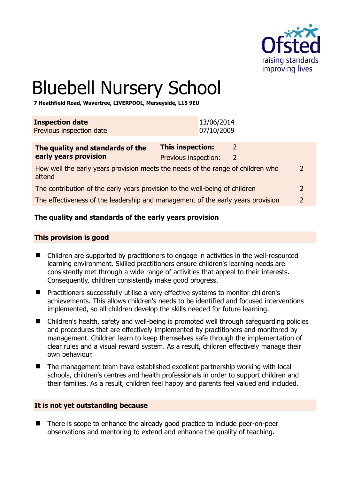

# Bluebell Nursery School

**7 Heathfield Road, Wavertree, LIVERPOOL, Merseyside, L15 9EU** 

| <b>Inspection date</b><br>Previous inspection date                          |                         | 13/06/2014<br>07/10/2009 |               |  |
|-----------------------------------------------------------------------------|-------------------------|--------------------------|---------------|--|
| The quality and standards of the                                            | <b>This inspection:</b> |                          |               |  |
| early years provision                                                       | Previous inspection:    |                          | $\mathcal{L}$ |  |
| How well the early vears provision meets the needs of the range of children |                         |                          |               |  |

How well the early years provision meets the needs of the range of children who attend  $\overline{2}$ 

The contribution of the early years provision to the well-being of children 2

The effectiveness of the leadership and management of the early years provision 2

## **The quality and standards of the early years provision**

#### **This provision is good**

- Children are supported by practitioners to engage in activities in the well-resourced learning environment. Skilled practitioners ensure children's learning needs are consistently met through a wide range of activities that appeal to their interests. Consequently, children consistently make good progress.
- Practitioners successfully utilise a very effective systems to monitor children's achievements. This allows children's needs to be identified and focused interventions implemented, so all children develop the skills needed for future learning.
- Children's health, safety and well-being is promoted well through safeguarding policies and procedures that are effectively implemented by practitioners and monitored by management. Children learn to keep themselves safe through the implementation of clear rules and a visual reward system. As a result, children effectively manage their own behaviour.
- The management team have established excellent partnership working with local schools, children's centres and health professionals in order to support children and their families. As a result, children feel happy and parents feel valued and included.

#### **It is not yet outstanding because**

■ There is scope to enhance the already good practice to include peer-on-peer observations and mentoring to extend and enhance the quality of teaching.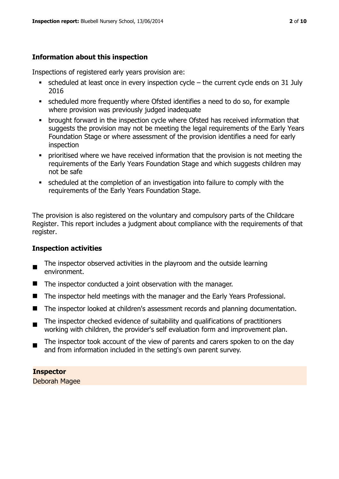# **Information about this inspection**

Inspections of registered early years provision are:

- scheduled at least once in every inspection cycle the current cycle ends on 31 July 2016
- scheduled more frequently where Ofsted identifies a need to do so, for example where provision was previously judged inadequate
- **•** brought forward in the inspection cycle where Ofsted has received information that suggests the provision may not be meeting the legal requirements of the Early Years Foundation Stage or where assessment of the provision identifies a need for early inspection
- **•** prioritised where we have received information that the provision is not meeting the requirements of the Early Years Foundation Stage and which suggests children may not be safe
- scheduled at the completion of an investigation into failure to comply with the requirements of the Early Years Foundation Stage.

The provision is also registered on the voluntary and compulsory parts of the Childcare Register. This report includes a judgment about compliance with the requirements of that register.

## **Inspection activities**

- $\blacksquare$ The inspector observed activities in the playroom and the outside learning environment.
- The inspector conducted a joint observation with the manager.
- The inspector held meetings with the manager and the Early Years Professional.
- The inspector looked at children's assessment records and planning documentation.
- $\blacksquare$ The inspector checked evidence of suitability and qualifications of practitioners working with children, the provider's self evaluation form and improvement plan.
- The inspector took account of the view of parents and carers spoken to on the day and from information included in the setting's own parent survey.

**Inspector**  Deborah Magee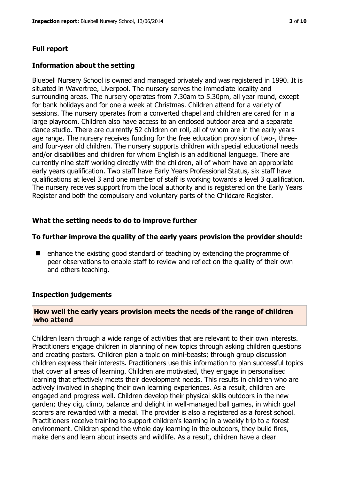# **Full report**

#### **Information about the setting**

Bluebell Nursery School is owned and managed privately and was registered in 1990. It is situated in Wavertree, Liverpool. The nursery serves the immediate locality and surrounding areas. The nursery operates from 7.30am to 5.30pm, all year round, except for bank holidays and for one a week at Christmas. Children attend for a variety of sessions. The nursery operates from a converted chapel and children are cared for in a large playroom. Children also have access to an enclosed outdoor area and a separate dance studio. There are currently 52 children on roll, all of whom are in the early years age range. The nursery receives funding for the free education provision of two-, threeand four-year old children. The nursery supports children with special educational needs and/or disabilities and children for whom English is an additional language. There are currently nine staff working directly with the children, all of whom have an appropriate early years qualification. Two staff have Early Years Professional Status, six staff have qualifications at level 3 and one member of staff is working towards a level 3 qualification. The nursery receives support from the local authority and is registered on the Early Years Register and both the compulsory and voluntary parts of the Childcare Register.

## **What the setting needs to do to improve further**

#### **To further improve the quality of the early years provision the provider should:**

■ enhance the existing good standard of teaching by extending the programme of peer observations to enable staff to review and reflect on the quality of their own and others teaching.

## **Inspection judgements**

## **How well the early years provision meets the needs of the range of children who attend**

Children learn through a wide range of activities that are relevant to their own interests. Practitioners engage children in planning of new topics through asking children questions and creating posters. Children plan a topic on mini-beasts; through group discussion children express their interests. Practitioners use this information to plan successful topics that cover all areas of learning. Children are motivated, they engage in personalised learning that effectively meets their development needs. This results in children who are actively involved in shaping their own learning experiences. As a result, children are engaged and progress well. Children develop their physical skills outdoors in the new garden; they dig, climb, balance and delight in well-managed ball games, in which goal scorers are rewarded with a medal. The provider is also a registered as a forest school. Practitioners receive training to support children's learning in a weekly trip to a forest environment. Children spend the whole day learning in the outdoors, they build fires, make dens and learn about insects and wildlife. As a result, children have a clear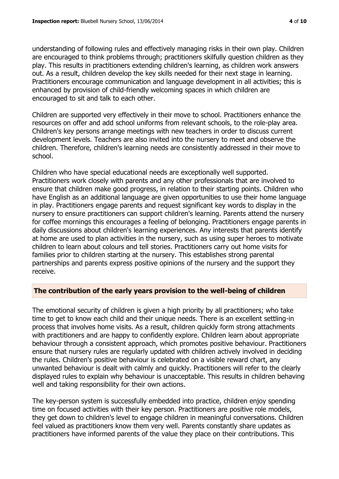understanding of following rules and effectively managing risks in their own play. Children are encouraged to think problems through; practitioners skilfully question children as they play. This results in practitioners extending children's learning, as children work answers out. As a result, children develop the key skills needed for their next stage in learning. Practitioners encourage communication and language development in all activities; this is enhanced by provision of child-friendly welcoming spaces in which children are encouraged to sit and talk to each other.

Children are supported very effectively in their move to school. Practitioners enhance the resources on offer and add school uniforms from relevant schools, to the role-play area. Children's key persons arrange meetings with new teachers in order to discuss current development levels. Teachers are also invited into the nursery to meet and observe the children. Therefore, children's learning needs are consistently addressed in their move to school.

Children who have special educational needs are exceptionally well supported. Practitioners work closely with parents and any other professionals that are involved to ensure that children make good progress, in relation to their starting points. Children who have English as an additional language are given opportunities to use their home language in play. Practitioners engage parents and request significant key words to display in the nursery to ensure practitioners can support children's learning. Parents attend the nursery for coffee mornings this encourages a feeling of belonging. Practitioners engage parents in daily discussions about children's learning experiences. Any interests that parents identify at home are used to plan activities in the nursery, such as using super heroes to motivate children to learn about colours and tell stories. Practitioners carry out home visits for families prior to children starting at the nursery. This establishes strong parental partnerships and parents express positive opinions of the nursery and the support they receive.

#### **The contribution of the early years provision to the well-being of children**

The emotional security of children is given a high priority by all practitioners; who take time to get to know each child and their unique needs. There is an excellent settling-in process that involves home visits. As a result, children quickly form strong attachments with practitioners and are happy to confidently explore. Children learn about appropriate behaviour through a consistent approach, which promotes positive behaviour. Practitioners ensure that nursery rules are regularly updated with children actively involved in deciding the rules. Children's positive behaviour is celebrated on a visible reward chart, any unwanted behaviour is dealt with calmly and quickly. Practitioners will refer to the clearly displayed rules to explain why behaviour is unacceptable. This results in children behaving well and taking responsibility for their own actions.

The key-person system is successfully embedded into practice, children enjoy spending time on focused activities with their key person. Practitioners are positive role models, they get down to children's level to engage children in meaningful conversations. Children feel valued as practitioners know them very well. Parents constantly share updates as practitioners have informed parents of the value they place on their contributions. This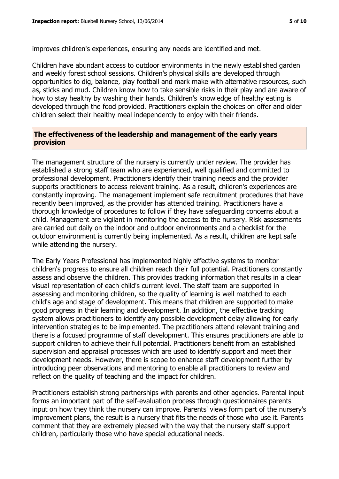improves children's experiences, ensuring any needs are identified and met.

Children have abundant access to outdoor environments in the newly established garden and weekly forest school sessions. Children's physical skills are developed through opportunities to dig, balance, play football and mark make with alternative resources, such as, sticks and mud. Children know how to take sensible risks in their play and are aware of how to stay healthy by washing their hands. Children's knowledge of healthy eating is developed through the food provided. Practitioners explain the choices on offer and older children select their healthy meal independently to enjoy with their friends.

#### **The effectiveness of the leadership and management of the early years provision**

The management structure of the nursery is currently under review. The provider has established a strong staff team who are experienced, well qualified and committed to professional development. Practitioners identify their training needs and the provider supports practitioners to access relevant training. As a result, children's experiences are constantly improving. The management implement safe recruitment procedures that have recently been improved, as the provider has attended training. Practitioners have a thorough knowledge of procedures to follow if they have safeguarding concerns about a child. Management are vigilant in monitoring the access to the nursery. Risk assessments are carried out daily on the indoor and outdoor environments and a checklist for the outdoor environment is currently being implemented. As a result, children are kept safe while attending the nursery.

The Early Years Professional has implemented highly effective systems to monitor children's progress to ensure all children reach their full potential. Practitioners constantly assess and observe the children. This provides tracking information that results in a clear visual representation of each child's current level. The staff team are supported in assessing and monitoring children, so the quality of learning is well matched to each child's age and stage of development. This means that children are supported to make good progress in their learning and development. In addition, the effective tracking system allows practitioners to identify any possible development delay allowing for early intervention strategies to be implemented. The practitioners attend relevant training and there is a focused programme of staff development. This ensures practitioners are able to support children to achieve their full potential. Practitioners benefit from an established supervision and appraisal processes which are used to identify support and meet their development needs. However, there is scope to enhance staff development further by introducing peer observations and mentoring to enable all practitioners to review and reflect on the quality of teaching and the impact for children.

Practitioners establish strong partnerships with parents and other agencies. Parental input forms an important part of the self-evaluation process through questionnaires parents input on how they think the nursery can improve. Parents' views form part of the nursery's improvement plans, the result is a nursery that fits the needs of those who use it. Parents comment that they are extremely pleased with the way that the nursery staff support children, particularly those who have special educational needs.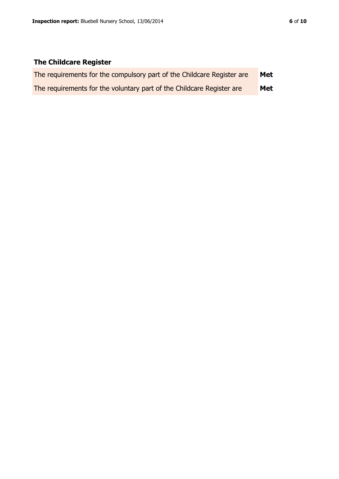# **The Childcare Register**

| The requirements for the compulsory part of the Childcare Register are | Met |
|------------------------------------------------------------------------|-----|
| The requirements for the voluntary part of the Childcare Register are  | Met |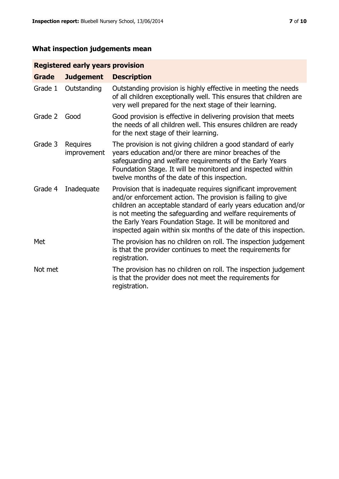# **What inspection judgements mean**

# **Registered early years provision**

| <b>Grade</b> | <b>Judgement</b>        | <b>Description</b>                                                                                                                                                                                                                                                                                                                                                                                |
|--------------|-------------------------|---------------------------------------------------------------------------------------------------------------------------------------------------------------------------------------------------------------------------------------------------------------------------------------------------------------------------------------------------------------------------------------------------|
| Grade 1      | Outstanding             | Outstanding provision is highly effective in meeting the needs<br>of all children exceptionally well. This ensures that children are<br>very well prepared for the next stage of their learning.                                                                                                                                                                                                  |
| Grade 2      | Good                    | Good provision is effective in delivering provision that meets<br>the needs of all children well. This ensures children are ready<br>for the next stage of their learning.                                                                                                                                                                                                                        |
| Grade 3      | Requires<br>improvement | The provision is not giving children a good standard of early<br>years education and/or there are minor breaches of the<br>safeguarding and welfare requirements of the Early Years<br>Foundation Stage. It will be monitored and inspected within<br>twelve months of the date of this inspection.                                                                                               |
| Grade 4      | Inadequate              | Provision that is inadequate requires significant improvement<br>and/or enforcement action. The provision is failing to give<br>children an acceptable standard of early years education and/or<br>is not meeting the safeguarding and welfare requirements of<br>the Early Years Foundation Stage. It will be monitored and<br>inspected again within six months of the date of this inspection. |
| Met          |                         | The provision has no children on roll. The inspection judgement<br>is that the provider continues to meet the requirements for<br>registration.                                                                                                                                                                                                                                                   |
| Not met      |                         | The provision has no children on roll. The inspection judgement<br>is that the provider does not meet the requirements for<br>registration.                                                                                                                                                                                                                                                       |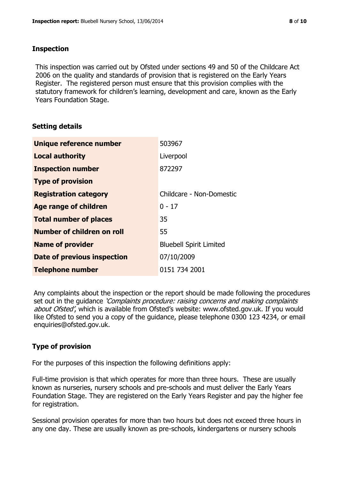#### **Inspection**

This inspection was carried out by Ofsted under sections 49 and 50 of the Childcare Act 2006 on the quality and standards of provision that is registered on the Early Years Register. The registered person must ensure that this provision complies with the statutory framework for children's learning, development and care, known as the Early Years Foundation Stage.

## **Setting details**

| Unique reference number       | 503967                         |
|-------------------------------|--------------------------------|
| <b>Local authority</b>        | Liverpool                      |
| <b>Inspection number</b>      | 872297                         |
| <b>Type of provision</b>      |                                |
| <b>Registration category</b>  | Childcare - Non-Domestic       |
| <b>Age range of children</b>  | $0 - 17$                       |
| <b>Total number of places</b> | 35                             |
| Number of children on roll    | 55                             |
| <b>Name of provider</b>       | <b>Bluebell Spirit Limited</b> |
| Date of previous inspection   | 07/10/2009                     |
| <b>Telephone number</b>       | 0151 734 2001                  |

Any complaints about the inspection or the report should be made following the procedures set out in the guidance *'Complaints procedure: raising concerns and making complaints* about Ofsted', which is available from Ofsted's website: www.ofsted.gov.uk. If you would like Ofsted to send you a copy of the guidance, please telephone 0300 123 4234, or email enquiries@ofsted.gov.uk.

## **Type of provision**

For the purposes of this inspection the following definitions apply:

Full-time provision is that which operates for more than three hours. These are usually known as nurseries, nursery schools and pre-schools and must deliver the Early Years Foundation Stage. They are registered on the Early Years Register and pay the higher fee for registration.

Sessional provision operates for more than two hours but does not exceed three hours in any one day. These are usually known as pre-schools, kindergartens or nursery schools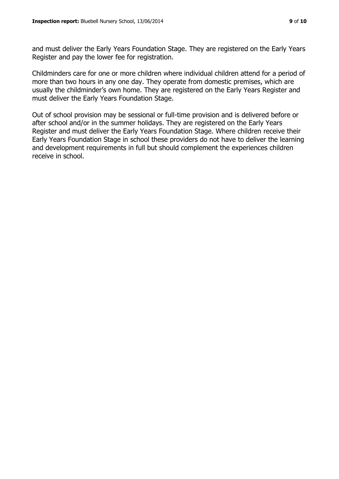and must deliver the Early Years Foundation Stage. They are registered on the Early Years Register and pay the lower fee for registration.

Childminders care for one or more children where individual children attend for a period of more than two hours in any one day. They operate from domestic premises, which are usually the childminder's own home. They are registered on the Early Years Register and must deliver the Early Years Foundation Stage.

Out of school provision may be sessional or full-time provision and is delivered before or after school and/or in the summer holidays. They are registered on the Early Years Register and must deliver the Early Years Foundation Stage. Where children receive their Early Years Foundation Stage in school these providers do not have to deliver the learning and development requirements in full but should complement the experiences children receive in school.